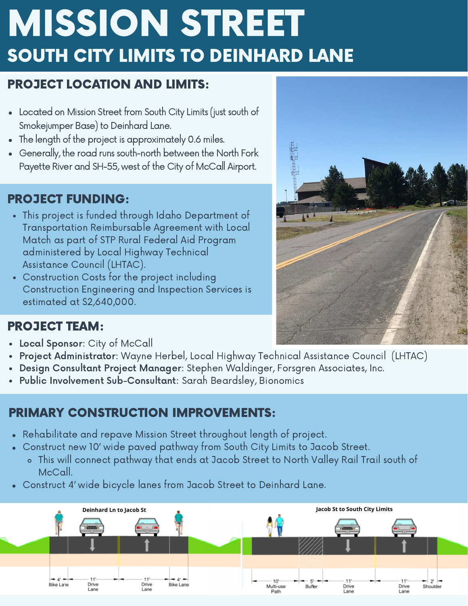# MISSION STREET SOUTH CITY LIMITS TO DEINHARD LANE

## PROJECT LOCATION AND LIMITS:

- Located on Mission Street from South City Limits (just south of Smokejumper Base) to Deinhard Lane.
- The length of the project is approximately 0.6 miles.
- Generally, the road runs south-north between the North Fork Payette River and SH-55, west of the City of McCall Airport.

# PROJECT FUNDING:

- This project is funded through Idaho Department of Transportation Reimbursable Agreement with Local Match as part of STP Rural Federal Aid Program administered by Local Highway Technical Assistance Council (LHTAC).
- Construction Costs for the project including Construction Engineering and Inspection Services is estimated at \$2,640,000.



## PROJECT TEAM:

- Local Sponsor: City of McCall  $\bullet$
- Project Administrator: Wayne Herbel, Local Highway Technical Assistance Council (LHTAC)
- Design Consultant Project Manager: Stephen Waldinger, Forsgren Associates, Inc.
- Public Involvement Sub-Consultant: Sarah Beardsley, Bionomics

# PRIMARY CONSTRUCTION IMPROVEMENTS:

- Rehabilitate and repave Mission Street throughout length of project.
- Construct new 10' wide paved pathway from South City Limits to Jacob Street.  $\bullet$ 
	- This will connect pathway that ends at Jacob Street to North Valley Rail Trail south of McCall.
- Construct 4' wide bicycle lanes from Jacob Street to Deinhard Lane.